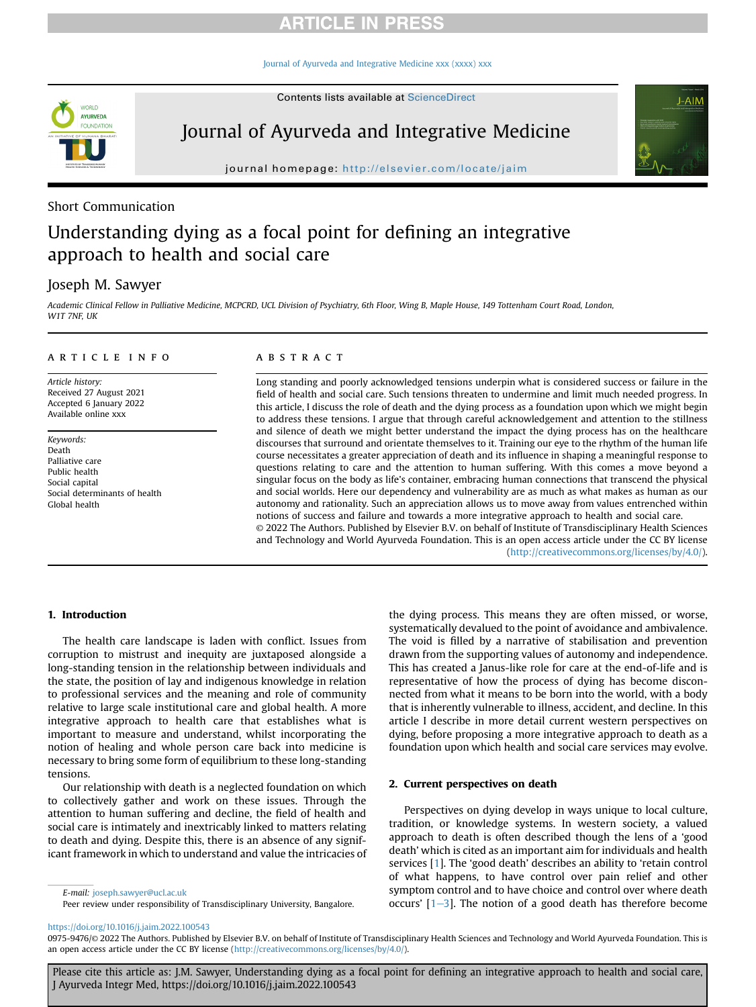# **ARTICLE IN PRESS**

[Journal of Ayurveda and Integrative Medicine xxx \(xxxx\) xxx](https://doi.org/10.1016/j.jaim.2022.100543)

Contents lists available at ScienceDirect



Journal of Ayurveda and Integrative Medicine

journal homepage: <http://elsevier.com/locate/jaim>

# Short Communication

# Understanding dying as a focal point for defining an integrative approach to health and social care

# Joseph M. Sawyer

Academic Clinical Fellow in Palliative Medicine, MCPCRD, UCL Division of Psychiatry, 6th Floor, Wing B, Maple House, 149 Tottenham Court Road, London, W1T 7NF, UK

#### article info

Article history: Received 27 August 2021 Accepted 6 January 2022 Available online xxx

Keywords: Death Palliative care Public health Social capital Social determinants of health Global health

### **ABSTRACT**

Long standing and poorly acknowledged tensions underpin what is considered success or failure in the field of health and social care. Such tensions threaten to undermine and limit much needed progress. In this article, I discuss the role of death and the dying process as a foundation upon which we might begin to address these tensions. I argue that through careful acknowledgement and attention to the stillness and silence of death we might better understand the impact the dying process has on the healthcare discourses that surround and orientate themselves to it. Training our eye to the rhythm of the human life course necessitates a greater appreciation of death and its influence in shaping a meaningful response to questions relating to care and the attention to human suffering. With this comes a move beyond a singular focus on the body as life's container, embracing human connections that transcend the physical and social worlds. Here our dependency and vulnerability are as much as what makes as human as our autonomy and rationality. Such an appreciation allows us to move away from values entrenched within notions of success and failure and towards a more integrative approach to health and social care. © 2022 The Authors. Published by Elsevier B.V. on behalf of Institute of Transdisciplinary Health Sciences and Technology and World Ayurveda Foundation. This is an open access article under the CC BY license

[\(http://creativecommons.org/licenses/by/4.0/](http://creativecommons.org/licenses/by/4.0/)).

 $J-AIN$ 

### 1. Introduction

The health care landscape is laden with conflict. Issues from corruption to mistrust and inequity are juxtaposed alongside a long-standing tension in the relationship between individuals and the state, the position of lay and indigenous knowledge in relation to professional services and the meaning and role of community relative to large scale institutional care and global health. A more integrative approach to health care that establishes what is important to measure and understand, whilst incorporating the notion of healing and whole person care back into medicine is necessary to bring some form of equilibrium to these long-standing tensions.

Our relationship with death is a neglected foundation on which to collectively gather and work on these issues. Through the attention to human suffering and decline, the field of health and social care is intimately and inextricably linked to matters relating to death and dying. Despite this, there is an absence of any significant framework in which to understand and value the intricacies of

E-mail: [joseph.sawyer@ucl.ac.uk](mailto:joseph.sawyer@ucl.ac.uk)

Peer review under responsibility of Transdisciplinary University, Bangalore.

the dying process. This means they are often missed, or worse, systematically devalued to the point of avoidance and ambivalence. The void is filled by a narrative of stabilisation and prevention drawn from the supporting values of autonomy and independence. This has created a Janus-like role for care at the end-of-life and is representative of how the process of dying has become disconnected from what it means to be born into the world, with a body that is inherently vulnerable to illness, accident, and decline. In this article I describe in more detail current western perspectives on dying, before proposing a more integrative approach to death as a foundation upon which health and social care services may evolve.

#### 2. Current perspectives on death

Perspectives on dying develop in ways unique to local culture, tradition, or knowledge systems. In western society, a valued approach to death is often described though the lens of a 'good death' which is cited as an important aim for individuals and health services [[1\]](#page-2-0). The 'good death' describes an ability to 'retain control of what happens, to have control over pain relief and other symptom control and to have choice and control over where death occurs'  $[1-3]$  $[1-3]$  $[1-3]$  $[1-3]$ . The notion of a good death has therefore become

Please cite this article as: J.M. Sawyer, Understanding dying as a focal point for defining an integrative approach to health and social care, J Ayurveda Integr Med, https://doi.org/10.1016/j.jaim.2022.100543

<https://doi.org/10.1016/j.jaim.2022.100543>

<sup>0975-9476/© 2022</sup> The Authors. Published by Elsevier B.V. on behalf of Institute of Transdisciplinary Health Sciences and Technology and World Ayurveda Foundation. This is an open access article under the CC BY license (<http://creativecommons.org/licenses/by/4.0/>).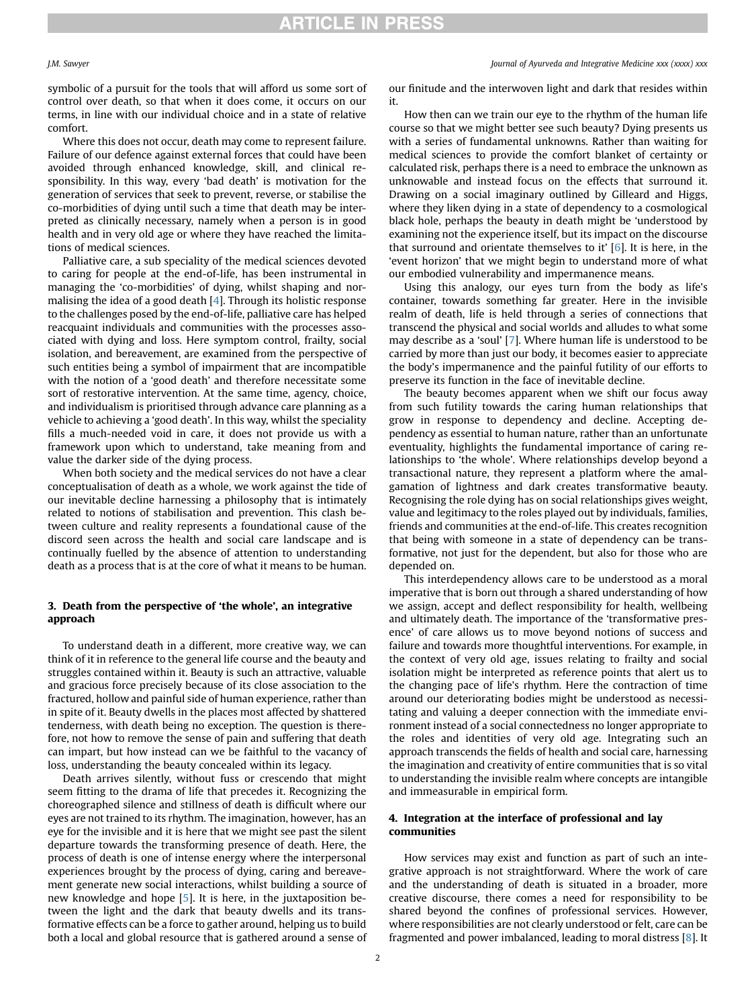symbolic of a pursuit for the tools that will afford us some sort of control over death, so that when it does come, it occurs on our terms, in line with our individual choice and in a state of relative comfort.

Where this does not occur, death may come to represent failure. Failure of our defence against external forces that could have been avoided through enhanced knowledge, skill, and clinical responsibility. In this way, every 'bad death' is motivation for the generation of services that seek to prevent, reverse, or stabilise the co-morbidities of dying until such a time that death may be interpreted as clinically necessary, namely when a person is in good health and in very old age or where they have reached the limitations of medical sciences.

Palliative care, a sub speciality of the medical sciences devoted to caring for people at the end-of-life, has been instrumental in managing the 'co-morbidities' of dying, whilst shaping and normalising the idea of a good death [\[4\]](#page-2-1). Through its holistic response to the challenges posed by the end-of-life, palliative care has helped reacquaint individuals and communities with the processes associated with dying and loss. Here symptom control, frailty, social isolation, and bereavement, are examined from the perspective of such entities being a symbol of impairment that are incompatible with the notion of a 'good death' and therefore necessitate some sort of restorative intervention. At the same time, agency, choice, and individualism is prioritised through advance care planning as a vehicle to achieving a 'good death'. In this way, whilst the speciality fills a much-needed void in care, it does not provide us with a framework upon which to understand, take meaning from and value the darker side of the dying process.

When both society and the medical services do not have a clear conceptualisation of death as a whole, we work against the tide of our inevitable decline harnessing a philosophy that is intimately related to notions of stabilisation and prevention. This clash between culture and reality represents a foundational cause of the discord seen across the health and social care landscape and is continually fuelled by the absence of attention to understanding death as a process that is at the core of what it means to be human.

## 3. Death from the perspective of 'the whole', an integrative approach

To understand death in a different, more creative way, we can think of it in reference to the general life course and the beauty and struggles contained within it. Beauty is such an attractive, valuable and gracious force precisely because of its close association to the fractured, hollow and painful side of human experience, rather than in spite of it. Beauty dwells in the places most affected by shattered tenderness, with death being no exception. The question is therefore, not how to remove the sense of pain and suffering that death can impart, but how instead can we be faithful to the vacancy of loss, understanding the beauty concealed within its legacy.

Death arrives silently, without fuss or crescendo that might seem fitting to the drama of life that precedes it. Recognizing the choreographed silence and stillness of death is difficult where our eyes are not trained to its rhythm. The imagination, however, has an eye for the invisible and it is here that we might see past the silent departure towards the transforming presence of death. Here, the process of death is one of intense energy where the interpersonal experiences brought by the process of dying, caring and bereavement generate new social interactions, whilst building a source of new knowledge and hope [\[5\]](#page-2-2). It is here, in the juxtaposition between the light and the dark that beauty dwells and its transformative effects can be a force to gather around, helping us to build both a local and global resource that is gathered around a sense of

#### J.M. Sawyer Journal of Ayurveda and Integrative Medicine xxx (xxxx) xxx

our finitude and the interwoven light and dark that resides within it.

How then can we train our eye to the rhythm of the human life course so that we might better see such beauty? Dying presents us with a series of fundamental unknowns. Rather than waiting for medical sciences to provide the comfort blanket of certainty or calculated risk, perhaps there is a need to embrace the unknown as unknowable and instead focus on the effects that surround it. Drawing on a social imaginary outlined by Gilleard and Higgs, where they liken dying in a state of dependency to a cosmological black hole, perhaps the beauty in death might be 'understood by examining not the experience itself, but its impact on the discourse that surround and orientate themselves to it'  $[6]$  $[6]$ . It is here, in the 'event horizon' that we might begin to understand more of what our embodied vulnerability and impermanence means.

Using this analogy, our eyes turn from the body as life's container, towards something far greater. Here in the invisible realm of death, life is held through a series of connections that transcend the physical and social worlds and alludes to what some may describe as a 'soul' [[7\]](#page-2-4). Where human life is understood to be carried by more than just our body, it becomes easier to appreciate the body's impermanence and the painful futility of our efforts to preserve its function in the face of inevitable decline.

The beauty becomes apparent when we shift our focus away from such futility towards the caring human relationships that grow in response to dependency and decline. Accepting dependency as essential to human nature, rather than an unfortunate eventuality, highlights the fundamental importance of caring relationships to 'the whole'. Where relationships develop beyond a transactional nature, they represent a platform where the amalgamation of lightness and dark creates transformative beauty. Recognising the role dying has on social relationships gives weight, value and legitimacy to the roles played out by individuals, families, friends and communities at the end-of-life. This creates recognition that being with someone in a state of dependency can be transformative, not just for the dependent, but also for those who are depended on.

This interdependency allows care to be understood as a moral imperative that is born out through a shared understanding of how we assign, accept and deflect responsibility for health, wellbeing and ultimately death. The importance of the 'transformative presence' of care allows us to move beyond notions of success and failure and towards more thoughtful interventions. For example, in the context of very old age, issues relating to frailty and social isolation might be interpreted as reference points that alert us to the changing pace of life's rhythm. Here the contraction of time around our deteriorating bodies might be understood as necessitating and valuing a deeper connection with the immediate environment instead of a social connectedness no longer appropriate to the roles and identities of very old age. Integrating such an approach transcends the fields of health and social care, harnessing the imagination and creativity of entire communities that is so vital to understanding the invisible realm where concepts are intangible and immeasurable in empirical form.

## 4. Integration at the interface of professional and lay communities

How services may exist and function as part of such an integrative approach is not straightforward. Where the work of care and the understanding of death is situated in a broader, more creative discourse, there comes a need for responsibility to be shared beyond the confines of professional services. However, where responsibilities are not clearly understood or felt, care can be fragmented and power imbalanced, leading to moral distress [\[8](#page-2-5)]. It